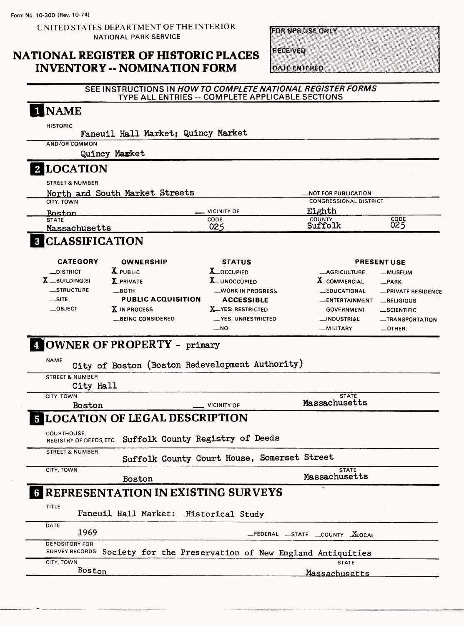UNITED STATES DEPARTMENT OF THE INTERIOR NATIONAL PARK SERVICE

## **NATIONAL REGISTER OF HISTORIC PLACES INVENTORY -- NOMINATION FORM**

**FOR NPS USE ONLY** 

**RECEIVED** 

**DATE ENTERED** 

#### **SEE INSTRUCTIONS IN HOW TO COMPLETE NATIONAL REGISTER FORMS TYPE ALL ENTRIES -- COMPLETE APPLICABLE SECTIONS**

| AND/OR COMMON                                         |                                                                        | Faneuil Hall Market; Quincy Market              |                                     |                          |
|-------------------------------------------------------|------------------------------------------------------------------------|-------------------------------------------------|-------------------------------------|--------------------------|
|                                                       | Quincy Market                                                          |                                                 |                                     |                          |
| <b>2 LOCATION</b>                                     |                                                                        |                                                 |                                     |                          |
| <b>STREET &amp; NUMBER</b>                            |                                                                        |                                                 |                                     |                          |
|                                                       | North and South Market Streets                                         |                                                 | <b>_NOT FOR PUBLICATION</b>         |                          |
| CITY, TOWN                                            |                                                                        |                                                 | <b>CONGRESSIONAL DISTRICT</b>       |                          |
| Boston<br><b>STATE</b>                                |                                                                        | <b>VICINITY OF</b><br>CODE                      | Eighth<br>COUNTY                    | CODE<br>025              |
| Massachusetts                                         |                                                                        | 025                                             | Suffolk                             |                          |
| <b>8 CLASSIFICATION</b>                               |                                                                        |                                                 |                                     |                          |
| <b>CATEGORY</b>                                       | <b>OWNERSHIP</b>                                                       | <b>STATUS</b>                                   |                                     | <b>PRESENT USE</b>       |
| $\_$ DISTRICT                                         | <b>X</b> PUBLIC                                                        | X_OCCUPIED                                      | <b>_AGRICULTURE</b>                 | <b>_MUSEUM</b>           |
| $\boldsymbol{\mathrm{X}}$ $\_$ building(s)            | <b>X_PRIVATE</b>                                                       | X UNOCCUPIED                                    | <b>X_COMMERCIAL</b>                 | $R$ PARK                 |
| <b>STRUCTURE</b><br>$\equiv$ SITE                     | $\equiv$ BOTH<br><b>PUBLIC ACQUISITION</b>                             | <b>WORK IN PROGRESS</b>                         | <b>EDUCATIONAL</b>                  | -PRIVATE RESIDENCE       |
| $\_$ OBJECT                                           | <b>X</b> IN PROCESS                                                    | <b>ACCESSIBLE</b><br><b>X</b> __YES: RESTRICTED | _ENTERTAINMENT<br><b>GOVERNMENT</b> | RELIGIOUS<br>_SCIENTIFIC |
|                                                       | <b>EBEING CONSIDERED</b>                                               | __ YES: UNRESTRICTED                            | <b>__INDUSTRIAL</b>                 | <b>__TRANSPORTATION</b>  |
|                                                       |                                                                        | $-NO$                                           | -MILITARY                           | $\_$ OTHER:              |
|                                                       | City of Boston (Boston Redevelopment Authority)                        |                                                 |                                     |                          |
| <b>STREET &amp; NUMBER</b><br>City Hall<br>CITY, TOWN |                                                                        |                                                 | <b>STATE</b>                        |                          |
| <b>Boston</b>                                         |                                                                        | <b>VICINITY OF</b>                              | Massachusetts                       |                          |
|                                                       | <b>5 LOCATION OF LEGAL DESCRIPTION</b>                                 |                                                 |                                     |                          |
| COURTHOUSE.                                           | REGISTRY OF DEEDS, ETC. Suffolk County Registry of Deeds               |                                                 |                                     |                          |
| <b>STREET &amp; NUMBER</b>                            |                                                                        | Suffolk County Court House, Somerset Street     |                                     |                          |
| CITY, TOWN                                            |                                                                        |                                                 | <b>STATE</b><br>Massachusetts       |                          |
|                                                       | Boston                                                                 |                                                 |                                     |                          |
| TITLE                                                 | <b>E REPRESENTATION IN EXISTING SURVEYS</b><br>Faneuil Hall Market:    | Historical Study                                |                                     |                          |
| DATE<br>1969                                          |                                                                        |                                                 | FEDERAL STATE COUNTY ALOCAL         |                          |
| <b>DEPOSITORY FOR</b>                                 |                                                                        |                                                 |                                     |                          |
| CITY. TOWN<br>Boston                                  | SURVEY RECORDS Society for the Preservation of New England Antiquities |                                                 | <b>STATE</b>                        |                          |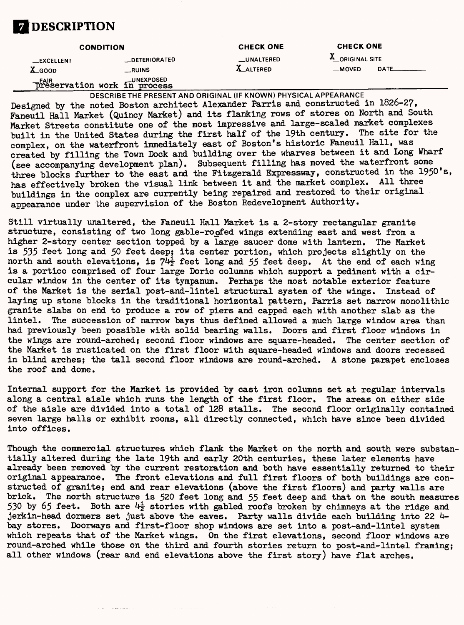

|                                | <b>CONDITION</b>                                                        |                                       | <b>CHECK ONE</b>                            |  |  |
|--------------------------------|-------------------------------------------------------------------------|---------------------------------------|---------------------------------------------|--|--|
| <b>__EXCELLENT</b><br>$X$ GOOD | __DETERIORATED<br>RUNS                                                  | <b>LUNALTERED</b><br><b>X_ALTERED</b> | <b>A</b> ORIGINAL SITE<br>DATE<br>$_M$ OVED |  |  |
|                                | <b>LUNEXPOSED</b><br><b>FAIR</b><br><b>Preservation work in process</b> |                                       |                                             |  |  |

DESCRIBE THE PRESENT AND ORIGINAL (IF KNOWN) PHYSICAL APPEARANCE Designed by the noted Boston architect Alexander Parris and constructed in 1826-2?, Faneuil Hall Market (Quincy Market) and its flanking rows of stores on North and South Market Streets constitute one of the most impressive and large-scaled market complexes built in the United States during the first half of the 19th century. The site for the complex, on the waterfront immediately east of Boston's historic Faneuil Hall, was created by filling the Town Dock and building over the wharves between it and Long Wharf (see accompanying development plan). Subsequent filling has moved the waterfront some three blocks further to the east and the Fitzgerald Expressway, constructed in the 1950's, has effectively broken the visual link between it and the market complex. All three buildings in the complex are currently being repaired and restored to their original appearance under the supervision of the Boston Redevelopment Authority,

Still virtually unaltered, the Faneuil Hall Market is a 2-story rectangular granite structure, consisting of two long gable-roofed wings extending east and west from a higher 2-story center section topped by a large saucer dome with lantern. The Market is 535 feet long and 50 feet deep; its center portion, which projects slightly on the north and south elevations, is  $74\frac{1}{2}$  feet long and 55 feet deep. At the end of each wing is a portico comprised of four large Doric columns which support a pediment with a circular window in the center of its tympanum. Perhaps the most notable exterior feature of the Market is the serial post-and-lintel structural system of the wings. Instead of laying up stone blocks in the traditional horizontal pattern, Parris set narrow monolithic granite slabs on end to produce a row of piers and capped each with another slab as the lintel. The succession of narrow bays thus defined allowed a much large window area than had previously been possible with solid bearing walls. Doors and first floor windows in the wings are round-arched; second floor windows are square-headed. The center section of the Market is rusticated on the first floor with square-headed windows and doors recessed in blind arches; the tall second floor windows are round-arched. A stone parapet encloses the roof and dome.

Internal support for the Market is provided by cast iron columns set at regular intervals along a central aisle which runs the length of the first floor. The areas on either side of the aisle are divided into a total of 128 stalls. The second floor originally contained seven large halls or exhibit rooms, all directly connected, which have since been divided into offices.

Though the commercial structures which flank the Market on the north and south were substantially altered during the late 19th and early 20th centuries, these later elements have already been removed by the current restoration and both have essentially returned to their original appearance. The front elevations and full first floors of both buildings are constructed of granite; end and rear elevations (above the first floors) and party walls are brick. The north structure is 520 feet long and 55 feet deep and that on the south measures 530 by 65 feet. Both are  $4\frac{1}{2}$  stories with gabled roofs broken by chimneys at the ridge and jerkin-head dormers set just above the eaves. Party walls divide each building into 22  $\mu$ bay stores. Doorways and first-floor shop windows are set into a post-and-lintel system which repeats that of the Market wings. On the first elevations, second floor windows are round-arched while those on the third and fourth stories return to post-and-lintel framing; all other windows (rear and end elevations above the first story) have flat arches.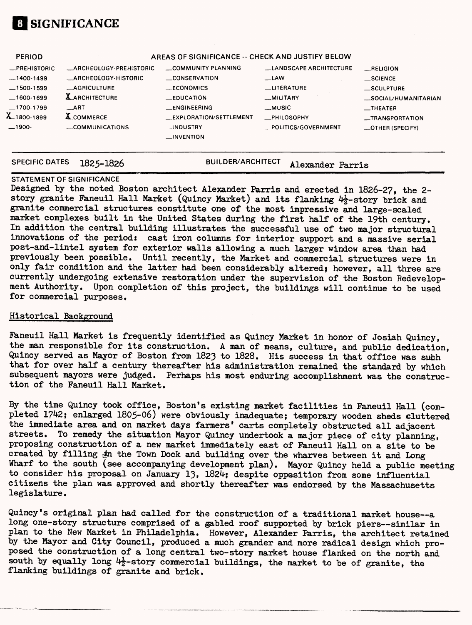

| <b>PERIOD</b>    | AREAS OF SIGNIFICANCE -- CHECK AND JUSTIFY BELOW |                        |                               |                                  |  |  |  |
|------------------|--------------------------------------------------|------------------------|-------------------------------|----------------------------------|--|--|--|
| -PREHISTORIC     | <b>LARCHEOLOGY-PREHISTORIC</b>                   | COMMUNITY PLANNING     | <b>LANDSCAPE ARCHITECTURE</b> | RELIGION                         |  |  |  |
| $-1400-1499$     | <b>ARCHEOLOGY-HISTORIC</b>                       | <b>CONSERVATION</b>    | $\equiv$ LAW                  | $\equiv$ SCIENCE                 |  |  |  |
| $-1500-1599$     | <b>LAGRICULTURE</b>                              | <b>LECONOMICS</b>      | <b>LITERATURE</b>             | $\_$ SCULPTURE                   |  |  |  |
| $-1600-1699$     | <b>X</b> ARCHITECTURE                            | <b>_EDUCATION</b>      | __MILITARY                    | _SOCIAL/HUMANITARIAN             |  |  |  |
| $-1700-1799$     | $\_$ ART                                         | _ENGINEERING           | __MUSIC                       | $\overline{\phantom{0}}$ THEATER |  |  |  |
| $X_{-1800-1899}$ | <b>X_COMMERCE</b>                                | EXPLORATION/SETTLEMENT | <b>MPHILOSOPHY</b>            | _TRANSPORTATION                  |  |  |  |
| $-1900-$         | COMMUNICATIONS                                   | __INDUSTRY             | _POLITICS/GOVERNMENT          | $\equiv$ OTHER (SPECIFY)         |  |  |  |
|                  |                                                  | $_{\text{L}N}}$        |                               |                                  |  |  |  |
|                  |                                                  |                        |                               |                                  |  |  |  |

**SPECIFIC DATES 1825-1826 BUILDER/ARCHITECT Alexander**

#### **STATEMENT OF SIGNIFICANCE**

Designed by the noted Boston architect Alexander Parris and erected in 1826-2?, the 2 story granite Faneuil Hall Market (Quincy Market) and its flanking  $4\frac{1}{2}$ -story brick and granite commercial structures constitute one of the most impressive and large-scaled market complexes built in the United States during the first half of the 19th century. In addition the central building illustrates the successful use of two major structural innovations of the period: cast iron columns for interior support and a massive serial post-and-lintel system for exterior walls allowing a much larger window area than had previously been possible. Until recently, the Market and commercial structures were in only fair condition and the latter had been considerably altered; however, all three are currently undergoing extensive restoration under the supervision of the Boston Redevelopment Authority. Upon completion of this project, the buildings will continue to be used for commercial purposes.

#### Historical Background

Faneuil Hall Market is frequently identified as Quincy Market in honor of Josiah Quincy, the man responsible for its construction. A man of means, culture, and public dedication, Quincy served as Mayor of Boston from 1823 to 1828. His success in that office was such that for over half a century thereafter his administration remained the standard by which subsequent mayors were judged. Perhaps his most enduring accomplishment was the construction of the Faneuil Hall Market.

By the time Quincy took office, Boston's existing market facilities in Faneuil Hall (completed 1?42; enlarged 1805-06) were obviously inadequate; temporary wooden sheds cluttered the immediate area and on market days farmers' carts completely obstructed all adjacent streets. To remedy the situation Mayor Quincy undertook a major piece of city planning, proposing construction of a new market immediately east of Faneuil Hall on a site to be created by filling 4n the Town Dock and building over the wharves between it and Long Wharf to the south (see accompanying development plan). Mayor Quincy held a public meeting to consider his proposal on January 13, 1824; despite oppesition from some influential citizens the plan was approved and shortly thereafter was endorsed by the Massachusetts legislature.

Quincy's original plan had called for the construction of a traditional market house—a long one-story structure comprised of a gabled roof supported by brick piers—similar in plan to the New Market in Philadelphia. However, Alexander Parris, the architect retained by the Mayor and City Council, produced a much grander and more radical design which proposed the construction of a long central two-story market house flanked on the north and south by equally long  $4\frac{1}{2}$ -story commercial buildings, the market to be of granite, the flanking buildings of granite and brick.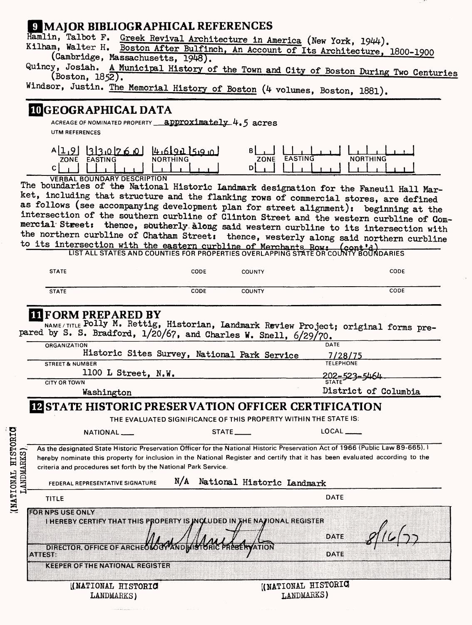# **GMAJOR BIBLIOGRAPHICAL REFERENCES**<br>Hamlin, Talbot F. Greek Revival Architecture in At

Hamlin, Talbot F. Greek Revival Architecture in America (New York, 1944).<br>Kilham, Walter H. Boston After Bulfinch, An Account of Its Ameritasium.

m, Walter H. Boston After Bulfinch, An Account of Its Architecture, 1800-1900 (Cambridge, Massachusetts, 1948).

Quincy, Josiah. A Municipal History of the Town and City of Boston During Two Centuries (Boston, 1852).

Windsor, Justin. The Memorial History of Boston (4 volumes, Boston, 1881).

#### **3GEOGRAPHICAL DATA**

ACREAGE OF NOMINATED PROPERTY **approximately UTM REFERENCES**



VERBAL BOUNDARY DESCRIPTION

The boundaries of the National Historic Landmark designation for the Faneuil Hall Market, including that structure and the flanking rows of commercial stores, are defined as follows (see accompanying development plan for street alignment): beginning at the intersection of the southern curbline of Clinton Street and the western curbline of Commercial Street: thence, southerly along said western curbline to its intersection with the northern curbline of Chatham Street: thence, westerly along said northern curbline to its intersection with the eastern curbline of Merchants Rows (cont'd)

**LIST ALL STATES AND COUNTIES FOR PROPERTIES OVERLAPPING STATE OR'COLTNTV'BOUNDARIES**

| <b>STATE</b> | CODE | COUNTY        | CODE |
|--------------|------|---------------|------|
|              |      |               |      |
| <b>STATE</b> | CODE | <b>COUNTY</b> | CODE |

## **[FORM PREPARED BY**

NAME/TITLE Polly M. Rettig, Historian, Landmark Review Project; original forms prepared by S. S. Bradford,  $1/20/67$ , and Charles W. Snell,  $6/29/70$ .

| <b>ORGANIZATION</b>                          | DATE                 |
|----------------------------------------------|----------------------|
| Historic Sites Survey, National Park Service | 7/28/75              |
| <b>STREET &amp; NUMBER</b>                   | <b>TELEPHONE</b>     |
| 1100 L Street, N.W.                          | $202 - 523 - 5464$   |
| <b>CITY OR TOWN</b>                          |                      |
| Washington                                   | District of Columbia |

#### **ID** STATE HISTORIC PRESERVATION OFFICER CERTIFICATION

|                                     |                                                                                                                                                                                                                                                                                                                                                                        | THE EVALUATED SIGNIFICANCE OF THIS PROPERTY WITHIN THE STATE IS: |                                  |  |
|-------------------------------------|------------------------------------------------------------------------------------------------------------------------------------------------------------------------------------------------------------------------------------------------------------------------------------------------------------------------------------------------------------------------|------------------------------------------------------------------|----------------------------------|--|
|                                     | NATIONAL___                                                                                                                                                                                                                                                                                                                                                            | $STATE$ <sub>______</sub>                                        | $LOCAL$ <sub>------</sub>        |  |
| <b>HISTORIC</b><br><b>LANDMARKS</b> | As the designated State Historic Preservation Officer for the National Historic Preservation Act of 1966 (Public Law 89-665). I<br>hereby nominate this property for inclusion in the National Register and certify that it has been evaluated according to the<br>criteria and procedures set forth by the National Park Service.<br>FEDERAL REPRESENTATIVE SIGNATURE | N/A<br>National Historic Landmark                                |                                  |  |
| IMATIONAL)                          | <b>TITLE</b>                                                                                                                                                                                                                                                                                                                                                           |                                                                  | <b>DATE</b>                      |  |
|                                     | <b>FOR NPS USE ONLY</b><br>I HEREBY CERTIFY THAT THIS PROPERTY IS INCLUDED IN THE NATIONAL REGISTER<br>DIRECTOR, OFFICE OF ARCHEOLOGY AND MISTION FRESERVATION<br><b>ATTEST:</b><br><b>KEEPER OF THE NATIONAL REGISTER</b>                                                                                                                                             |                                                                  | DATE<br><b>DATE</b>              |  |
|                                     | (NATIONAL HISTORIC<br>LANDMARKS)                                                                                                                                                                                                                                                                                                                                       |                                                                  | KNATIONAL HISTORIC<br>LANDMARKS) |  |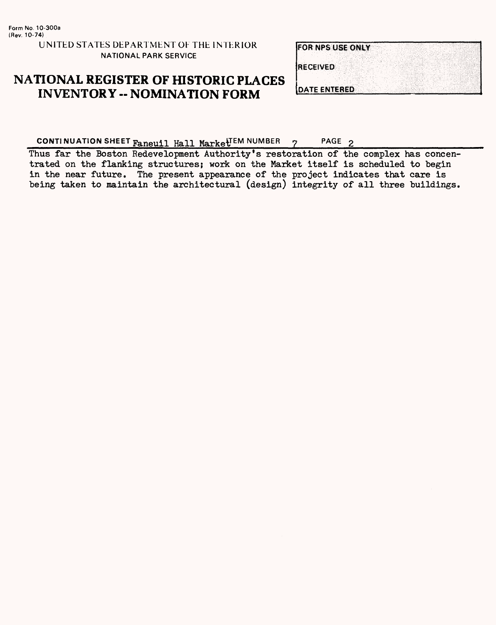UNITED STATES DEPARTMENT OF THE INTERIOR NATIONAL PARK SERVICE

| <b>FOR NPS USE ONLY</b> |  |  |  |  |
|-------------------------|--|--|--|--|
| <b>IRECEIVED</b>        |  |  |  |  |
|                         |  |  |  |  |
| DATE ENTERED            |  |  |  |  |

# **NATIONAL REGISTER OF HISTORIC PLACES INVENTORY - NOMINATION FORM**

**CONTINUATION SHEET**  $\frac{1}{R}$  **reuil Hall Market<sup>TEM NUMBER 7 PAGE 2\_\_\_\_\_\_\_\_\_\_\_\_\_\_**</sup>

Thus far the Boston Redevelopment Authority's restoration of the complex has concentrated on the flanking structures; work on the Market itself is scheduled to begin in the near future. The present appearance of the project indicates that care is being taken to maintain the architectural (design) integrity of all three buildings.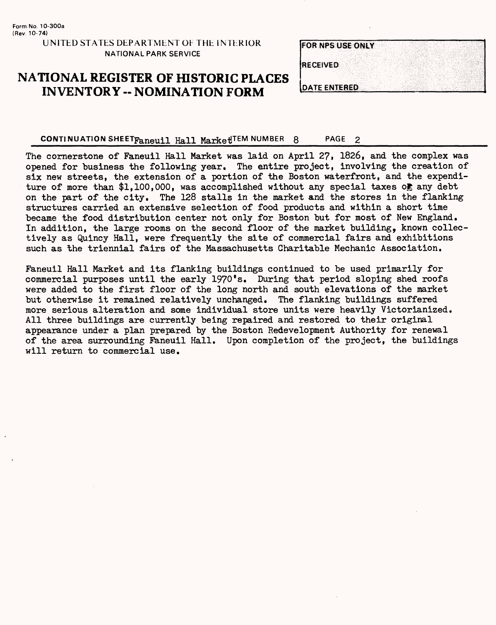## **NATIONAL REGISTER OF HISTORIC PLACES INVENTORY - NOMINATION FORM**

| <b>FOR NPS USE ONLY</b> |  |  |  |
|-------------------------|--|--|--|
|                         |  |  |  |
| <b>RECEIVED</b>         |  |  |  |
|                         |  |  |  |
| <b>DATE ENTERED</b>     |  |  |  |

#### CONTINUATION SHEETFaneuil Hall MarketTEM NUMBER 8 PAGE 2

The cornerstone of Faneuil Hall Market was laid on April 27, 1826, and the complex was opened for business the following year. The entire project, involving the creation of six new streets, the extension of a portion of the Boston waterfront, and the expenditure of more than \$1,100,000, was accomplished without any special taxes of any debt on the part of the city. The 128 stalls in the market and the stores in the flanking structures carried an extensive selection of food products and within a short time became the food distribution center not only for Boston but for most of New England. In addition, the large rooms on the second floor of the market building, known collectively as Quincy Hall, were frequently the site of commercial fairs and exhibitions such as the triennial fairs of the Massachusetts Charitable Mechanic Association.

Faneuil Hall Market and its flanking buildings continued to be used primarily for commercial purposes until the early 1970 \*s. During that period sloping shed roofs were added to the first floor of the long north and south elevations of the market but otherwise it remained relatively unchanged. The flanking buildings suffered more serious alteration and some individual store units were heavily Victorianized. All three buildings are currently being repaired and restored to their original appearance under a plan prepared by the Boston Redevelopment Authority for renewal of the area surrounding Faneuil Hall. Upon completion of the project, the buildings will return to commercial use.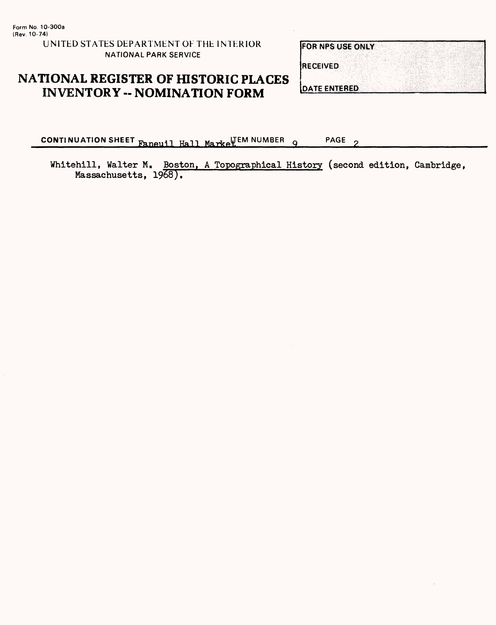**UNITED STATES DEPARTMENT OF THE INTERIOR NATIONAL PARK SERVICE**

# NATIONAL REGISTER OF HISTORIC PLACES **INVENTORY -- NOMINATION FORM**

| <b>FOR NPS USE ONLY</b> |  |  |  |  |
|-------------------------|--|--|--|--|
|                         |  |  |  |  |
| <b>IRECEIVED</b>        |  |  |  |  |
|                         |  |  |  |  |
| <b>JOATE ENTERED</b>    |  |  |  |  |

**CONTINUATION SHEET** Faneuil Hall Markel<sup>IEM</sup> NUMBER 9 PAGE  $\mathbf{\Omega}$ 

Whitehill, Walter M. Boston, A Topographical History (second edition, Cambridge, Massachusetts, 1968).